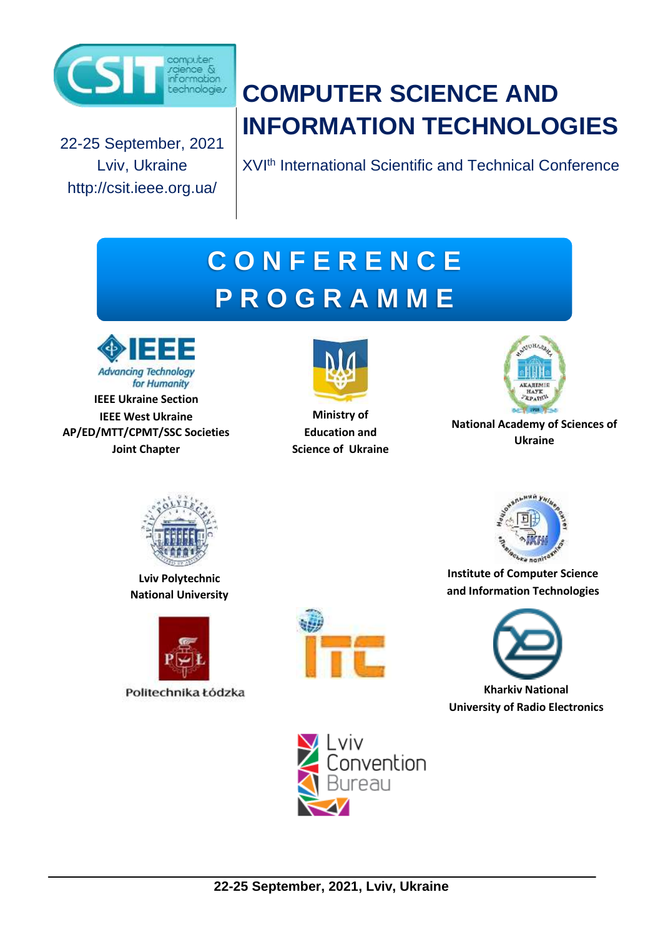

22-25 September, 2021 Lviv, Ukraine http://csit.ieee.org.ua/

# **22-25 September, 2021, Lviv, Ukraine COMPUTER SCIENCE AND<br>
22-25 September, 2021, Lviv, Ukraine Computer**<br>
22-25 **September, 2021, Lviv, Ukraine INFORMATION TECHNOLOGIES**

XVI<sup>th</sup> International Scientific and Technical Conference

# **C O N F E R E N C E P R O G R A M M E**



**IEEE Ukraine Section IEEE West Ukraine AP/ED/MTT/CPMT/SSC Societies Joint Chapter**



**Ministry of Education and Science of Ukraine**



**National Academy of Sciences of Ukraine**



**Lviv Polytechnic National University**







**Institute of Computer Science and Information Technologies**



**Kharkiv National University оf Radio Electronics**

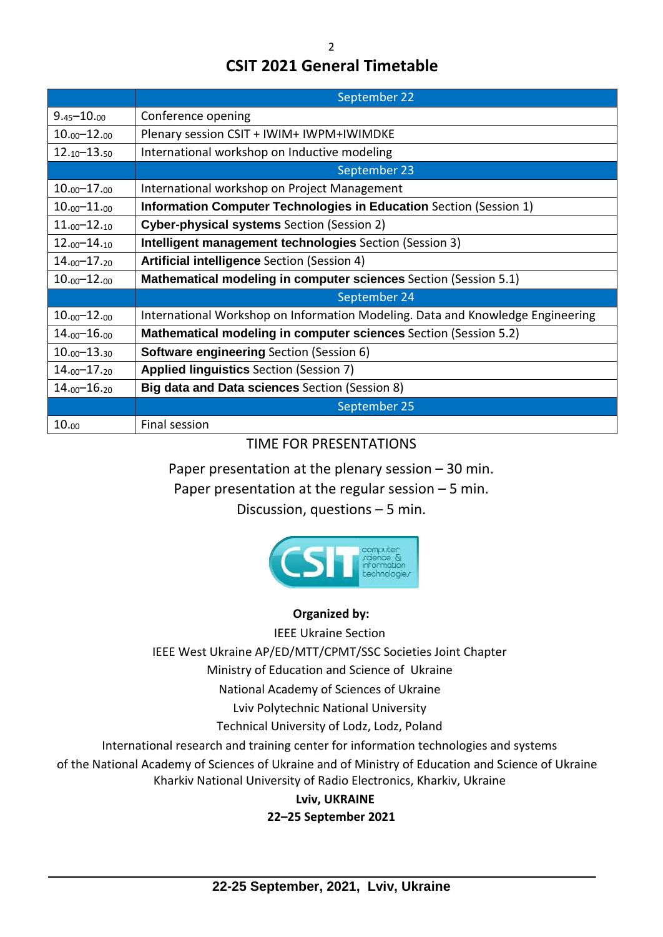### **CSIT 2021 General Timetable**

|                       | September 22                                                                   |
|-----------------------|--------------------------------------------------------------------------------|
| $9.45 - 10.00$        | Conference opening                                                             |
| $10.00 - 12.00$       | Plenary session CSIT + IWIM+ IWPM+IWIMDKE                                      |
| $12.10 - 13.50$       | International workshop on Inductive modeling                                   |
|                       | September 23                                                                   |
| $10.00 - 17.00$       | International workshop on Project Management                                   |
| $10.00 - 11.00$       | Information Computer Technologies in Education Section (Session 1)             |
| $11_{.00} - 12_{.10}$ | <b>Cyber-physical systems</b> Section (Session 2)                              |
| $12.00 - 14.10$       | Intelligent management technologies Section (Session 3)                        |
| $14.00 - 17.20$       | Artificial intelligence Section (Session 4)                                    |
| $10.00 - 12.00$       | Mathematical modeling in computer sciences Section (Session 5.1)               |
|                       | September 24                                                                   |
| $10.00 - 12.00$       | International Workshop on Information Modeling. Data and Knowledge Engineering |
| $14.00 - 16.00$       | <b>Mathematical modeling in computer sciences</b> Section (Session 5.2)        |
| $10.00 - 13.30$       | <b>Software engineering Section (Session 6)</b>                                |
| $14.00 - 17.20$       | <b>Applied linguistics Section (Session 7)</b>                                 |
| $14.00 - 16.20$       | <b>Big data and Data sciences</b> Section (Session 8)                          |
|                       | September 25                                                                   |
| 10.00                 | Final session                                                                  |

### TIME FOR PRESENTATIONS

Paper presentation at the plenary session – 30 min.

Paper presentation at the regular session – 5 min.

Discussion, questions – 5 min.



### **Organized by:**

IEEE Ukraine Section

IEEE West Ukraine AP/ED/MTT/CPMT/SSC Societies Joint Chapter

Ministry of Education and Science of Ukraine

National Academy of Sciences of Ukraine

Lviv Polytechnic National University

Technical University of Lodz, Lodz, Poland

International research and training center for information technologies and systems

of the National Academy of Sciences of Ukraine and of Ministry of Education and Science of Ukraine Kharkiv National University of Radio Electronics, Kharkiv, Ukraine

> **Lviv, UKRAINE 22–25 September 2021**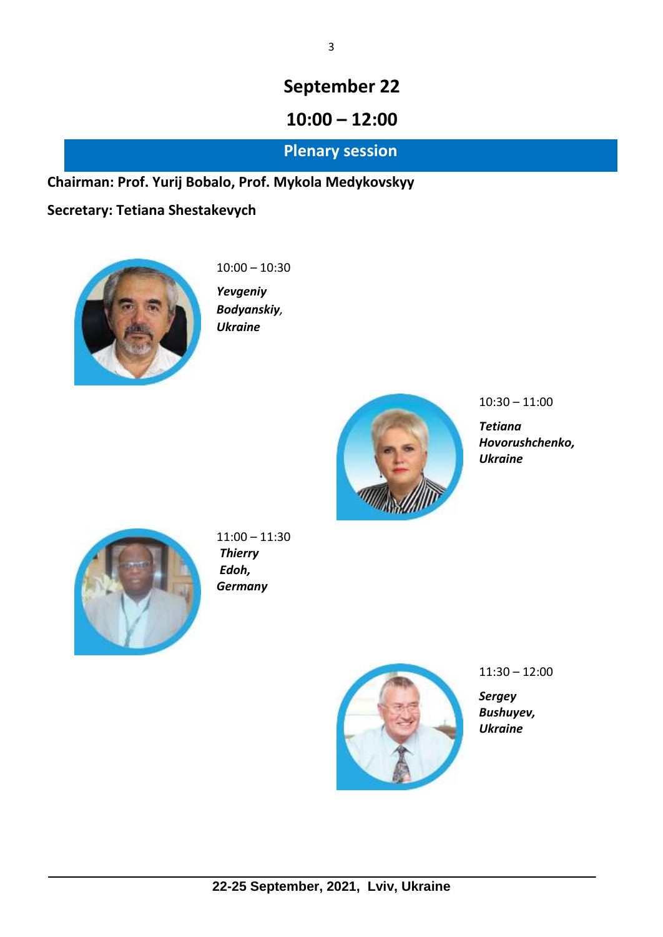# **10:00 – 12:00**

### **Plenary session**

### **Chairman: Prof. Yurij Bobalo, Prof. Mykola Medykovskyy**

### **Secretary: Tetiana Shestakevych**



10:00 – 10:30

*Yevgeniy Bodyanskiy, Ukraine*



10:30 – 11:00

*Tetiana Hovorushchenko, Ukraine*



11:00 – 11:30 *Thierry Edoh, Germany*



11:30 – 12:00

*Sergey Bushuyev, Ukraine*

3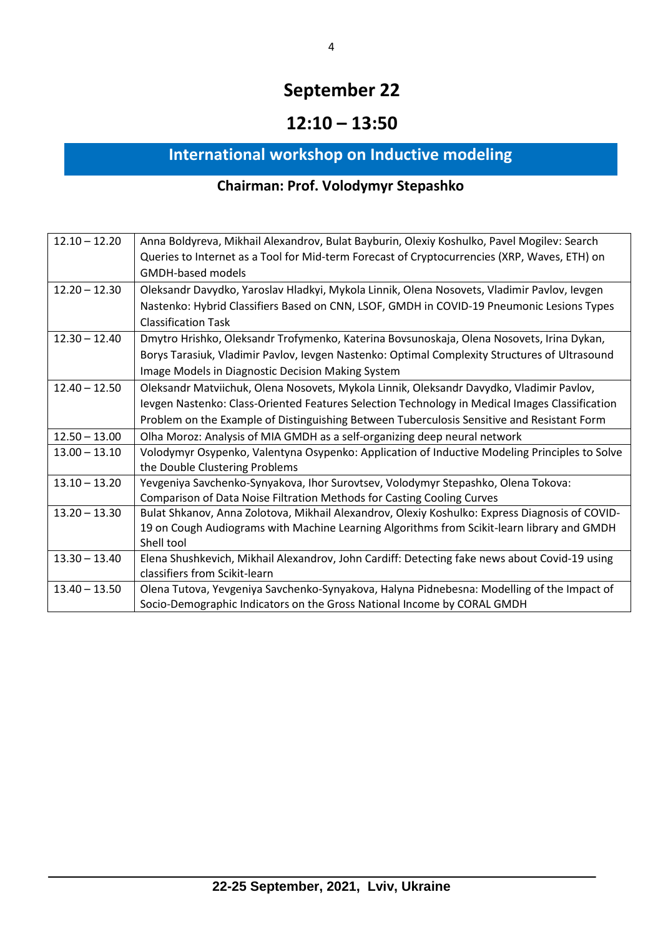# **12:10 – 13:50**

# **International workshop on Inductive modeling**

# **Chairman: Prof. Volodymyr Stepashko**

| $12.10 - 12.20$ | Anna Boldyreva, Mikhail Alexandrov, Bulat Bayburin, Olexiy Koshulko, Pavel Mogilev: Search     |
|-----------------|------------------------------------------------------------------------------------------------|
|                 | Queries to Internet as a Tool for Mid-term Forecast of Cryptocurrencies (XRP, Waves, ETH) on   |
|                 | <b>GMDH-based models</b>                                                                       |
| $12.20 - 12.30$ | Oleksandr Davydko, Yaroslav Hladkyi, Mykola Linnik, Olena Nosovets, Vladimir Pavlov, Ievgen    |
|                 | Nastenko: Hybrid Classifiers Based on CNN, LSOF, GMDH in COVID-19 Pneumonic Lesions Types      |
|                 | <b>Classification Task</b>                                                                     |
| $12.30 - 12.40$ | Dmytro Hrishko, Oleksandr Trofymenko, Katerina Bovsunoskaja, Olena Nosovets, Irina Dykan,      |
|                 | Borys Tarasiuk, Vladimir Pavlov, Ievgen Nastenko: Optimal Complexity Structures of Ultrasound  |
|                 | Image Models in Diagnostic Decision Making System                                              |
| $12.40 - 12.50$ | Oleksandr Matviichuk, Olena Nosovets, Mykola Linnik, Oleksandr Davydko, Vladimir Pavlov,       |
|                 | levgen Nastenko: Class-Oriented Features Selection Technology in Medical Images Classification |
|                 | Problem on the Example of Distinguishing Between Tuberculosis Sensitive and Resistant Form     |
| $12.50 - 13.00$ | Olha Moroz: Analysis of MIA GMDH as a self-organizing deep neural network                      |
| $13.00 - 13.10$ | Volodymyr Osypenko, Valentyna Osypenko: Application of Inductive Modeling Principles to Solve  |
|                 | the Double Clustering Problems                                                                 |
| $13.10 - 13.20$ | Yevgeniya Savchenko-Synyakova, Ihor Surovtsev, Volodymyr Stepashko, Olena Tokova:              |
|                 | Comparison of Data Noise Filtration Methods for Casting Cooling Curves                         |
| $13.20 - 13.30$ | Bulat Shkanov, Anna Zolotova, Mikhail Alexandrov, Olexiy Koshulko: Express Diagnosis of COVID- |
|                 | 19 on Cough Audiograms with Machine Learning Algorithms from Scikit-learn library and GMDH     |
|                 | Shell tool                                                                                     |
| $13.30 - 13.40$ | Elena Shushkevich, Mikhail Alexandrov, John Cardiff: Detecting fake news about Covid-19 using  |
|                 | classifiers from Scikit-learn                                                                  |
| $13.40 - 13.50$ | Olena Tutova, Yevgeniya Savchenko-Synyakova, Halyna Pidnebesna: Modelling of the Impact of     |
|                 | Socio-Demographic Indicators on the Gross National Income by CORAL GMDH                        |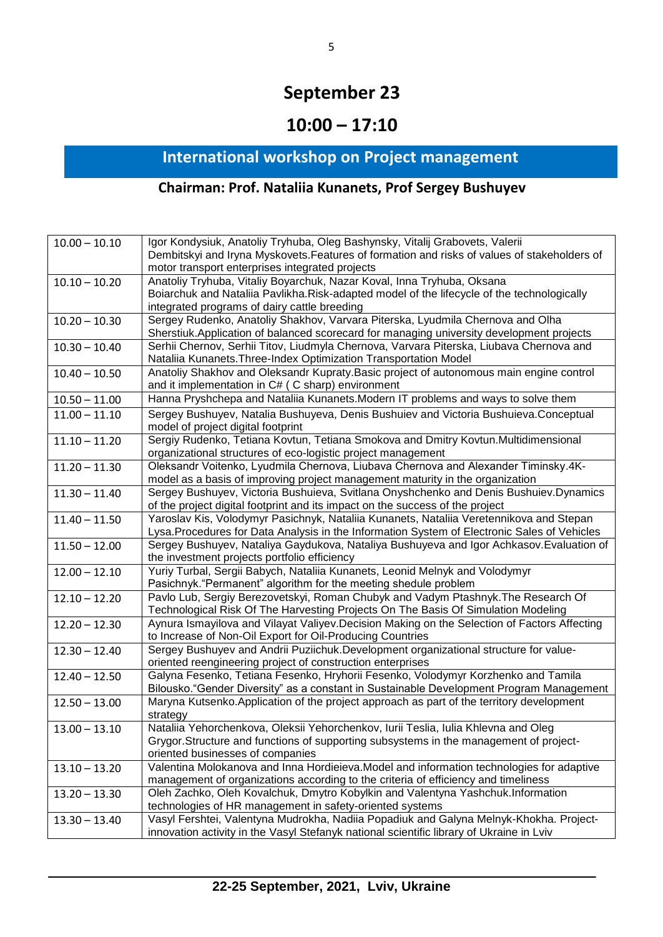# **10:00 – 17:10**

# **International workshop on Project management**

### **Chairman: Prof. Nataliia Kunanets, Prof Sergey Bushuyev**

| $10.00 - 10.10$ | Igor Kondysiuk, Anatoliy Tryhuba, Oleg Bashynsky, Vitalij Grabovets, Valerii                 |
|-----------------|----------------------------------------------------------------------------------------------|
|                 | Dembitskyi and Iryna Myskovets. Features of formation and risks of values of stakeholders of |
|                 | motor transport enterprises integrated projects                                              |
| $10.10 - 10.20$ | Anatoliy Tryhuba, Vitaliy Boyarchuk, Nazar Koval, Inna Tryhuba, Oksana                       |
|                 | Boiarchuk and Nataliia Pavlikha. Risk-adapted model of the lifecycle of the technologically  |
|                 | integrated programs of dairy cattle breeding                                                 |
| $10.20 - 10.30$ | Sergey Rudenko, Anatoliy Shakhov, Varvara Piterska, Lyudmila Chernova and Olha               |
|                 | Sherstiuk.Application of balanced scorecard for managing university development projects     |
| $10.30 - 10.40$ | Serhii Chernov, Serhii Titov, Liudmyla Chernova, Varvara Piterska, Liubava Chernova and      |
|                 | Nataliia Kunanets. Three-Index Optimization Transportation Model                             |
| $10.40 - 10.50$ | Anatoliy Shakhov and Oleksandr Kupraty. Basic project of autonomous main engine control      |
|                 | and it implementation in C# (C sharp) environment                                            |
| $10.50 - 11.00$ | Hanna Pryshchepa and Nataliia Kunanets. Modern IT problems and ways to solve them            |
| $11.00 - 11.10$ | Sergey Bushuyev, Natalia Bushuyeva, Denis Bushuiev and Victoria Bushuieva.Conceptual         |
|                 | model of project digital footprint                                                           |
| $11.10 - 11.20$ | Sergiy Rudenko, Tetiana Kovtun, Tetiana Smokova and Dmitry Kovtun.Multidimensional           |
|                 | organizational structures of eco-logistic project management                                 |
| $11.20 - 11.30$ | Oleksandr Voitenko, Lyudmila Chernova, Liubava Chernova and Alexander Timinsky.4K-           |
|                 | model as a basis of improving project management maturity in the organization                |
| $11.30 - 11.40$ | Sergey Bushuyev, Victoria Bushuieva, Svitlana Onyshchenko and Denis Bushuiev.Dynamics        |
|                 | of the project digital footprint and its impact on the success of the project                |
| $11.40 - 11.50$ | Yaroslav Kis, Volodymyr Pasichnyk, Nataliia Kunanets, Nataliia Veretennikova and Stepan      |
|                 | Lysa. Procedures for Data Analysis in the Information System of Electronic Sales of Vehicles |
| $11.50 - 12.00$ | Sergey Bushuyev, Nataliya Gaydukova, Nataliya Bushuyeva and Igor Achkasov. Evaluation of     |
|                 | the investment projects portfolio efficiency                                                 |
| $12.00 - 12.10$ | Yuriy Turbal, Sergii Babych, Nataliia Kunanets, Leonid Melnyk and Volodymyr                  |
|                 | Pasichnyk. "Permanent" algorithm for the meeting shedule problem                             |
| $12.10 - 12.20$ | Pavlo Lub, Sergiy Berezovetskyi, Roman Chubyk and Vadym Ptashnyk. The Research Of            |
|                 | Technological Risk Of The Harvesting Projects On The Basis Of Simulation Modeling            |
| $12.20 - 12.30$ | Aynura Ismayilova and Vilayat Valiyev. Decision Making on the Selection of Factors Affecting |
|                 | to Increase of Non-Oil Export for Oil-Producing Countries                                    |
| $12.30 - 12.40$ | Sergey Bushuyev and Andrii Puziichuk.Development organizational structure for value-         |
|                 | oriented reengineering project of construction enterprises                                   |
| $12.40 - 12.50$ | Galyna Fesenko, Tetiana Fesenko, Hryhorii Fesenko, Volodymyr Korzhenko and Tamila            |
|                 | Bilousko."Gender Diversity" as a constant in Sustainable Development Program Management      |
| $12.50 - 13.00$ | Maryna Kutsenko. Application of the project approach as part of the territory development    |
|                 | strategy                                                                                     |
| $13.00 - 13.10$ | Nataliia Yehorchenkova, Oleksii Yehorchenkov, Iurii Teslia, Iulia Khlevna and Oleg           |
|                 | Grygor. Structure and functions of supporting subsystems in the management of project-       |
|                 | oriented businesses of companies                                                             |
| $13.10 - 13.20$ | Valentina Molokanova and Inna Hordieieva. Model and information technologies for adaptive    |
|                 | management of organizations according to the criteria of efficiency and timeliness           |
| $13.20 - 13.30$ | Oleh Zachko, Oleh Kovalchuk, Dmytro Kobylkin and Valentyna Yashchuk.Information              |
|                 | technologies of HR management in safety-oriented systems                                     |
| $13.30 - 13.40$ | Vasyl Fershtei, Valentyna Mudrokha, Nadiia Popadiuk and Galyna Melnyk-Khokha. Project-       |
|                 | innovation activity in the Vasyl Stefanyk national scientific library of Ukraine in Lviv     |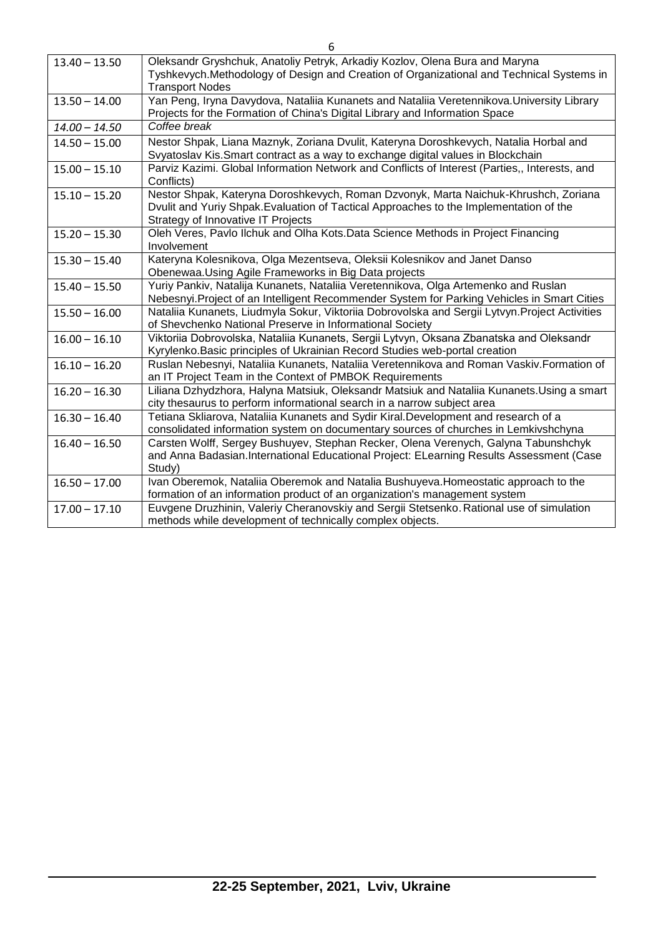| $13.40 - 13.50$ | Oleksandr Gryshchuk, Anatoliy Petryk, Arkadiy Kozlov, Olena Bura and Maryna<br>Tyshkevych.Methodology of Design and Creation of Organizational and Technical Systems in<br><b>Transport Nodes</b>                   |
|-----------------|---------------------------------------------------------------------------------------------------------------------------------------------------------------------------------------------------------------------|
| $13.50 - 14.00$ | Yan Peng, Iryna Davydova, Nataliia Kunanets and Nataliia Veretennikova. University Library<br>Projects for the Formation of China's Digital Library and Information Space                                           |
| $14.00 - 14.50$ | Coffee break                                                                                                                                                                                                        |
| $14.50 - 15.00$ | Nestor Shpak, Liana Maznyk, Zoriana Dvulit, Kateryna Doroshkevych, Natalia Horbal and<br>Svyatoslav Kis. Smart contract as a way to exchange digital values in Blockchain                                           |
| $15.00 - 15.10$ | Parviz Kazimi. Global Information Network and Conflicts of Interest (Parties,, Interests, and<br>Conflicts)                                                                                                         |
| $15.10 - 15.20$ | Nestor Shpak, Kateryna Doroshkevych, Roman Dzvonyk, Marta Naichuk-Khrushch, Zoriana<br>Dvulit and Yuriy Shpak. Evaluation of Tactical Approaches to the Implementation of the<br>Strategy of Innovative IT Projects |
| $15.20 - 15.30$ | Oleh Veres, Pavlo Ilchuk and Olha Kots.Data Science Methods in Project Financing<br>Involvement                                                                                                                     |
| $15.30 - 15.40$ | Kateryna Kolesnikova, Olga Mezentseva, Oleksii Kolesnikov and Janet Danso<br>Obenewaa. Using Agile Frameworks in Big Data projects                                                                                  |
| $15.40 - 15.50$ | Yuriy Pankiv, Natalija Kunanets, Nataliia Veretennikova, Olga Artemenko and Ruslan<br>Nebesnyi. Project of an Intelligent Recommender System for Parking Vehicles in Smart Cities                                   |
| $15.50 - 16.00$ | Nataliia Kunanets, Liudmyla Sokur, Viktoriia Dobrovolska and Sergii Lytvyn. Project Activities<br>of Shevchenko National Preserve in Informational Society                                                          |
| $16.00 - 16.10$ | Viktoriia Dobrovolska, Nataliia Kunanets, Sergii Lytvyn, Oksana Zbanatska and Oleksandr<br>Kyrylenko. Basic principles of Ukrainian Record Studies web-portal creation                                              |
| $16.10 - 16.20$ | Ruslan Nebesnyi, Nataliia Kunanets, Nataliia Veretennikova and Roman Vaskiv. Formation of<br>an IT Project Team in the Context of PMBOK Requirements                                                                |
| $16.20 - 16.30$ | Liliana Dzhydzhora, Halyna Matsiuk, Oleksandr Matsiuk and Nataliia Kunanets. Using a smart<br>city thesaurus to perform informational search in a narrow subject area                                               |
| $16.30 - 16.40$ | Tetiana Skliarova, Nataliia Kunanets and Sydir Kiral.Development and research of a<br>consolidated information system on documentary sources of churches in Lemkivshchyna                                           |
| $16.40 - 16.50$ | Carsten Wolff, Sergey Bushuyev, Stephan Recker, Olena Verenych, Galyna Tabunshchyk<br>and Anna Badasian.International Educational Project: ELearning Results Assessment (Case<br>Study)                             |
| $16.50 - 17.00$ | Ivan Oberemok, Nataliia Oberemok and Natalia Bushuyeva. Homeostatic approach to the<br>formation of an information product of an organization's management system                                                   |
| $17.00 - 17.10$ | Euvgene Druzhinin, Valeriy Cheranovskiy and Sergii Stetsenko. Rational use of simulation<br>methods while development of technically complex objects.                                                               |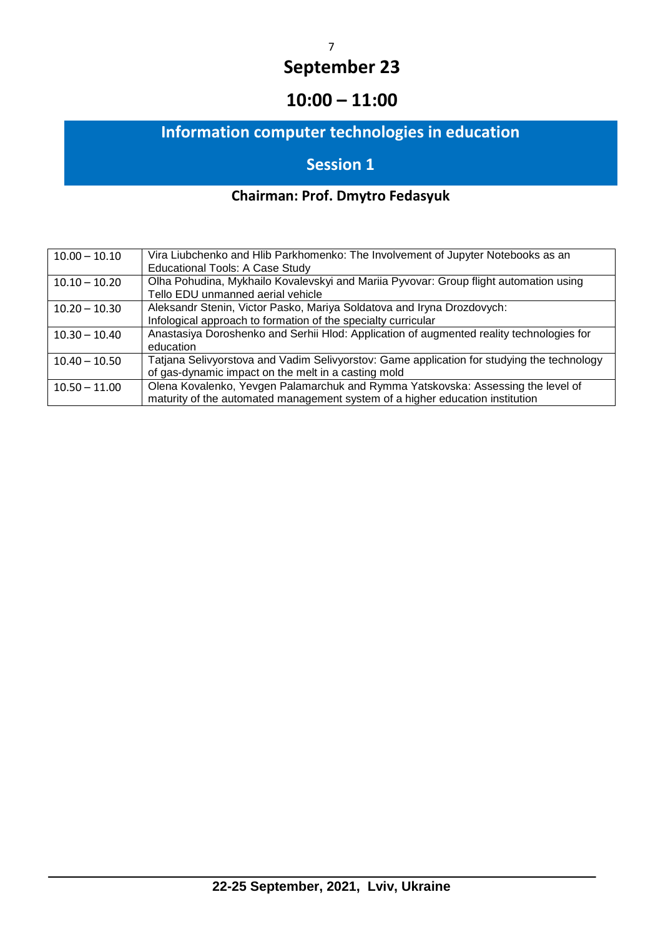# **10:00 – 11:00**

# **Information computer technologies in education**

# **Session 1**

# **Chairman: Prof. Dmytro Fedasyuk**

| $10.00 - 10.10$ | Vira Liubchenko and Hlib Parkhomenko: The Involvement of Jupyter Notebooks as an<br><b>Educational Tools: A Case Study</b>                                        |
|-----------------|-------------------------------------------------------------------------------------------------------------------------------------------------------------------|
| $10.10 - 10.20$ | Olha Pohudina, Mykhailo Kovalevskyi and Mariia Pyvovar: Group flight automation using<br>Tello EDU unmanned aerial vehicle                                        |
| $10.20 - 10.30$ | Aleksandr Stenin, Victor Pasko, Mariya Soldatova and Iryna Drozdovych:<br>Infological approach to formation of the specialty curricular                           |
| $10.30 - 10.40$ | Anastasiya Doroshenko and Serhii Hlod: Application of augmented reality technologies for<br>education                                                             |
| $10.40 - 10.50$ | Tatjana Selivyorstova and Vadim Selivyorstov: Game application for studying the technology<br>of gas-dynamic impact on the melt in a casting mold                 |
| $10.50 - 11.00$ | Olena Kovalenko, Yevgen Palamarchuk and Rymma Yatskovska: Assessing the level of<br>maturity of the automated management system of a higher education institution |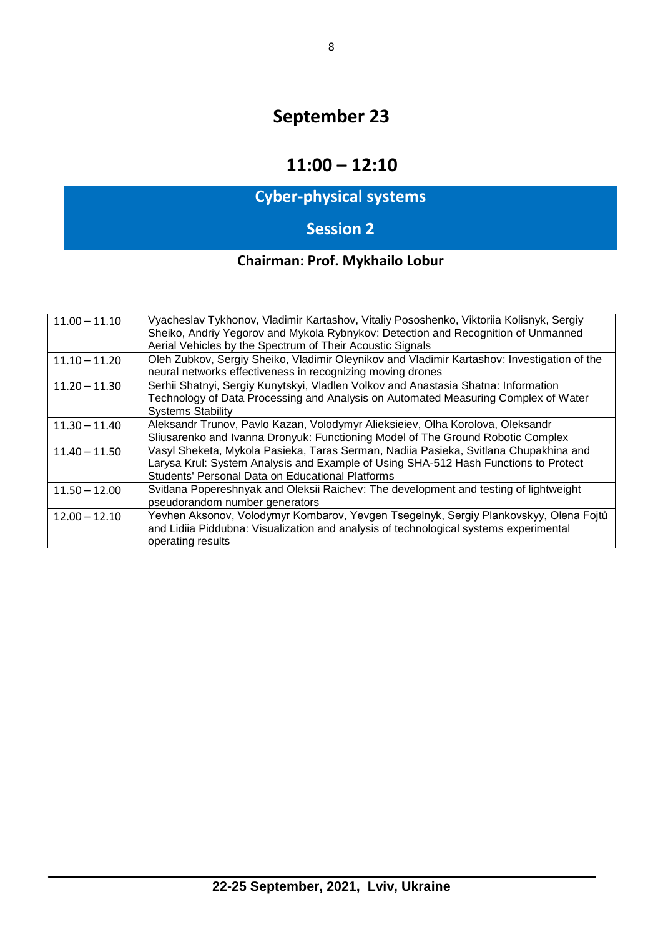## **11:00 – 12:10**

# **Cyber-physical systems**

# **Session 2**

# **Chairman: Prof. Mykhailo Lobur**

| $11.00 - 11.10$ | Vyacheslav Tykhonov, Vladimir Kartashov, Vitaliy Pososhenko, Viktoriia Kolisnyk, Sergiy<br>Sheiko, Andriy Yegorov and Mykola Rybnykov: Detection and Recognition of Unmanned<br>Aerial Vehicles by the Spectrum of Their Acoustic Signals |
|-----------------|-------------------------------------------------------------------------------------------------------------------------------------------------------------------------------------------------------------------------------------------|
| $11.10 - 11.20$ | Oleh Zubkov, Sergiy Sheiko, Vladimir Oleynikov and Vladimir Kartashov: Investigation of the<br>neural networks effectiveness in recognizing moving drones                                                                                 |
| $11.20 - 11.30$ | Serhii Shatnyi, Sergiy Kunytskyi, Vladlen Volkov and Anastasia Shatna: Information<br>Technology of Data Processing and Analysis on Automated Measuring Complex of Water<br><b>Systems Stability</b>                                      |
| $11.30 - 11.40$ | Aleksandr Trunov, Pavlo Kazan, Volodymyr Alieksieiev, Olha Korolova, Oleksandr<br>Sliusarenko and Ivanna Dronyuk: Functioning Model of The Ground Robotic Complex                                                                         |
| $11.40 - 11.50$ | Vasyl Sheketa, Mykola Pasieka, Taras Serman, Nadiia Pasieka, Svitlana Chupakhina and<br>Larysa Krul: System Analysis and Example of Using SHA-512 Hash Functions to Protect<br>Students' Personal Data on Educational Platforms           |
| $11.50 - 12.00$ | Svitlana Popereshnyak and Oleksii Raichev: The development and testing of lightweight<br>pseudorandom number generators                                                                                                                   |
| $12.00 - 12.10$ | Yevhen Aksonov, Volodymyr Kombarov, Yevgen Tsegelnyk, Sergiy Plankovskyy, Olena Fojtů<br>and Lidiia Piddubna: Visualization and analysis of technological systems experimental<br>operating results                                       |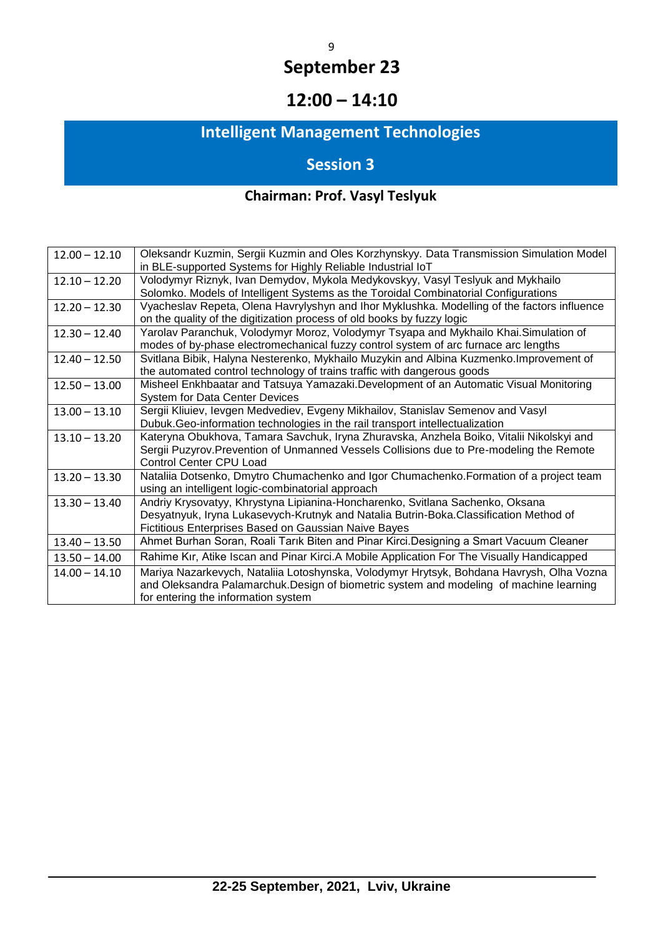# **12:00 – 14:10**

# **Intelligent Management Technologies**

# **Session 3**

# **Chairman: Prof. Vasyl Teslyuk**

| $12.00 - 12.10$ | Oleksandr Kuzmin, Sergii Kuzmin and Oles Korzhynskyy. Data Transmission Simulation Model<br>in BLE-supported Systems for Highly Reliable Industrial IoT |
|-----------------|---------------------------------------------------------------------------------------------------------------------------------------------------------|
| $12.10 - 12.20$ | Volodymyr Riznyk, Ivan Demydov, Mykola Medykovskyy, Vasyl Teslyuk and Mykhailo                                                                          |
|                 | Solomko. Models of Intelligent Systems as the Toroidal Combinatorial Configurations                                                                     |
| $12.20 - 12.30$ | Vyacheslav Repeta, Olena Havrylyshyn and Ihor Myklushka. Modelling of the factors influence                                                             |
|                 | on the quality of the digitization process of old books by fuzzy logic                                                                                  |
| $12.30 - 12.40$ | Yarolav Paranchuk, Volodymyr Moroz, Volodymyr Tsyapa and Mykhailo Khai.Simulation of                                                                    |
|                 | modes of by-phase electromechanical fuzzy control system of arc furnace arc lengths                                                                     |
| $12.40 - 12.50$ | Svitlana Bibik, Halyna Nesterenko, Mykhailo Muzykin and Albina Kuzmenko. Improvement of                                                                 |
|                 | the automated control technology of trains traffic with dangerous goods                                                                                 |
| $12.50 - 13.00$ | Misheel Enkhbaatar and Tatsuya Yamazaki.Development of an Automatic Visual Monitoring                                                                   |
|                 | <b>System for Data Center Devices</b>                                                                                                                   |
| $13.00 - 13.10$ | Sergii Kliuiev, levgen Medvediev, Evgeny Mikhailov, Stanislav Semenov and Vasyl                                                                         |
|                 | Dubuk. Geo-information technologies in the rail transport intellectualization                                                                           |
| $13.10 - 13.20$ | Kateryna Obukhova, Tamara Savchuk, Iryna Zhuravska, Anzhela Boiko, Vitalii Nikolskyi and                                                                |
|                 | Sergii Puzyrov. Prevention of Unmanned Vessels Collisions due to Pre-modeling the Remote                                                                |
|                 | Control Center CPU Load                                                                                                                                 |
| $13.20 - 13.30$ | Nataliia Dotsenko, Dmytro Chumachenko and Igor Chumachenko. Formation of a project team                                                                 |
|                 | using an intelligent logic-combinatorial approach                                                                                                       |
| $13.30 - 13.40$ | Andriy Krysovatyy, Khrystyna Lipianina-Honcharenko, Svitlana Sachenko, Oksana                                                                           |
|                 | Desyatnyuk, Iryna Lukasevych-Krutnyk and Natalia Butrin-Boka.Classification Method of                                                                   |
|                 | Fictitious Enterprises Based on Gaussian Naive Bayes                                                                                                    |
| $13.40 - 13.50$ | Ahmet Burhan Soran, Roali Tarık Biten and Pinar Kirci.Designing a Smart Vacuum Cleaner                                                                  |
| $13.50 - 14.00$ | Rahime Kır, Atike Iscan and Pinar Kirci.A Mobile Application For The Visually Handicapped                                                               |
| $14.00 - 14.10$ | Mariya Nazarkevych, Nataliia Lotoshynska, Volodymyr Hrytsyk, Bohdana Havrysh, Olha Vozna                                                                |
|                 | and Oleksandra Palamarchuk. Design of biometric system and modeling of machine learning                                                                 |
|                 | for entering the information system                                                                                                                     |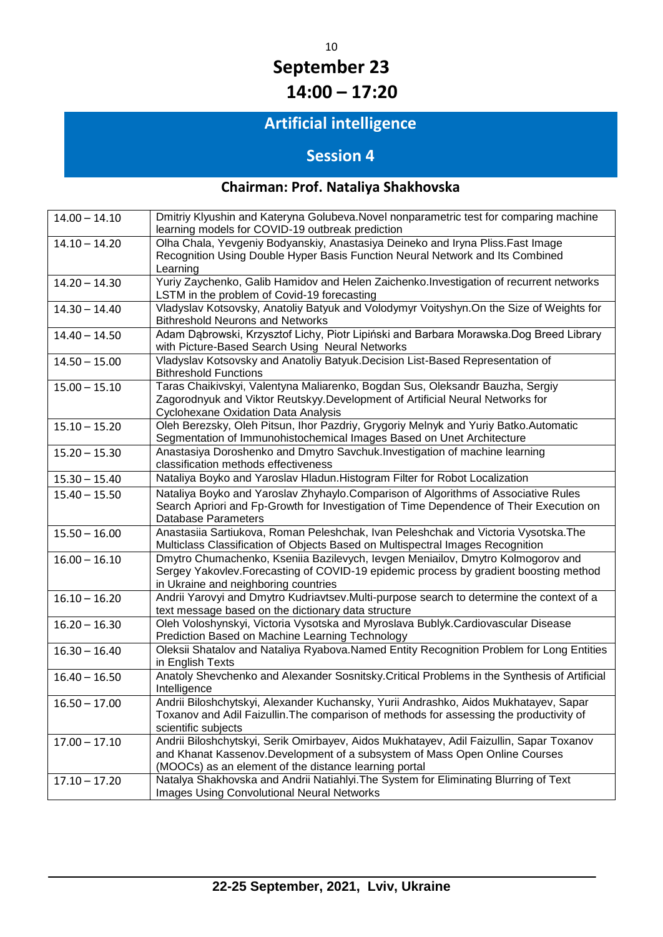# 10 **September 23 14:00 – 17:20**

# **Artificial intelligence**

# **Session 4**

# **Chairman: Prof. Nataliya Shakhovska**

| $14.00 - 14.10$ | Dmitriy Klyushin and Kateryna Golubeva. Novel nonparametric test for comparing machine<br>learning models for COVID-19 outbreak prediction                                                                                     |
|-----------------|--------------------------------------------------------------------------------------------------------------------------------------------------------------------------------------------------------------------------------|
| $14.10 - 14.20$ | Olha Chala, Yevgeniy Bodyanskiy, Anastasiya Deineko and Iryna Pliss. Fast Image<br>Recognition Using Double Hyper Basis Function Neural Network and Its Combined<br>Learning                                                   |
| $14.20 - 14.30$ | Yuriy Zaychenko, Galib Hamidov and Helen Zaichenko.Investigation of recurrent networks<br>LSTM in the problem of Covid-19 forecasting                                                                                          |
| $14.30 - 14.40$ | Vladyslav Kotsovsky, Anatoliy Batyuk and Volodymyr Voityshyn.On the Size of Weights for<br><b>Bithreshold Neurons and Networks</b>                                                                                             |
| $14.40 - 14.50$ | Adam Dąbrowski, Krzysztof Lichy, Piotr Lipiński and Barbara Morawska.Dog Breed Library<br>with Picture-Based Search Using Neural Networks                                                                                      |
| $14.50 - 15.00$ | Vladyslav Kotsovsky and Anatoliy Batyuk. Decision List-Based Representation of<br><b>Bithreshold Functions</b>                                                                                                                 |
| $15.00 - 15.10$ | Taras Chaikivskyi, Valentyna Maliarenko, Bogdan Sus, Oleksandr Bauzha, Sergiy<br>Zagorodnyuk and Viktor Reutskyy. Development of Artificial Neural Networks for<br>Cyclohexane Oxidation Data Analysis                         |
| $15.10 - 15.20$ | Oleh Berezsky, Oleh Pitsun, Ihor Pazdriy, Grygoriy Melnyk and Yuriy Batko.Automatic<br>Segmentation of Immunohistochemical Images Based on Unet Architecture                                                                   |
| $15.20 - 15.30$ | Anastasiya Doroshenko and Dmytro Savchuk. Investigation of machine learning<br>classification methods effectiveness                                                                                                            |
| $15.30 - 15.40$ | Nataliya Boyko and Yaroslav Hladun. Histogram Filter for Robot Localization                                                                                                                                                    |
| $15.40 - 15.50$ | Nataliya Boyko and Yaroslav Zhyhaylo.Comparison of Algorithms of Associative Rules<br>Search Apriori and Fp-Growth for Investigation of Time Dependence of Their Execution on<br>Database Parameters                           |
| $15.50 - 16.00$ | Anastasiia Sartiukova, Roman Peleshchak, Ivan Peleshchak and Victoria Vysotska. The<br>Multiclass Classification of Objects Based on Multispectral Images Recognition                                                          |
| $16.00 - 16.10$ | Dmytro Chumachenko, Kseniia Bazilevych, levgen Meniailov, Dmytro Kolmogorov and<br>Sergey Yakovlev. Forecasting of COVID-19 epidemic process by gradient boosting method<br>in Ukraine and neighboring countries               |
| $16.10 - 16.20$ | Andrii Yarovyi and Dmytro Kudriavtsev.Multi-purpose search to determine the context of a<br>text message based on the dictionary data structure                                                                                |
| $16.20 - 16.30$ | Oleh Voloshynskyi, Victoria Vysotska and Myroslava Bublyk.Cardiovascular Disease<br>Prediction Based on Machine Learning Technology                                                                                            |
| $16.30 - 16.40$ | Oleksii Shatalov and Nataliya Ryabova.Named Entity Recognition Problem for Long Entities<br>in English Texts                                                                                                                   |
| $16.40 - 16.50$ | Anatoly Shevchenko and Alexander Sosnitsky. Critical Problems in the Synthesis of Artificial<br>Intelligence                                                                                                                   |
| $16.50 - 17.00$ | Andrii Biloshchytskyi, Alexander Kuchansky, Yurii Andrashko, Aidos Mukhatayev, Sapar<br>Toxanov and Adil Faizullin. The comparison of methods for assessing the productivity of<br>scientific subjects                         |
| $17.00 - 17.10$ | Andrii Biloshchytskyi, Serik Omirbayev, Aidos Mukhatayev, Adil Faizullin, Sapar Toxanov<br>and Khanat Kassenov.Development of a subsystem of Mass Open Online Courses<br>(MOOCs) as an element of the distance learning portal |
| $17.10 - 17.20$ | Natalya Shakhovska and Andrii Natiahlyi. The System for Eliminating Blurring of Text<br><b>Images Using Convolutional Neural Networks</b>                                                                                      |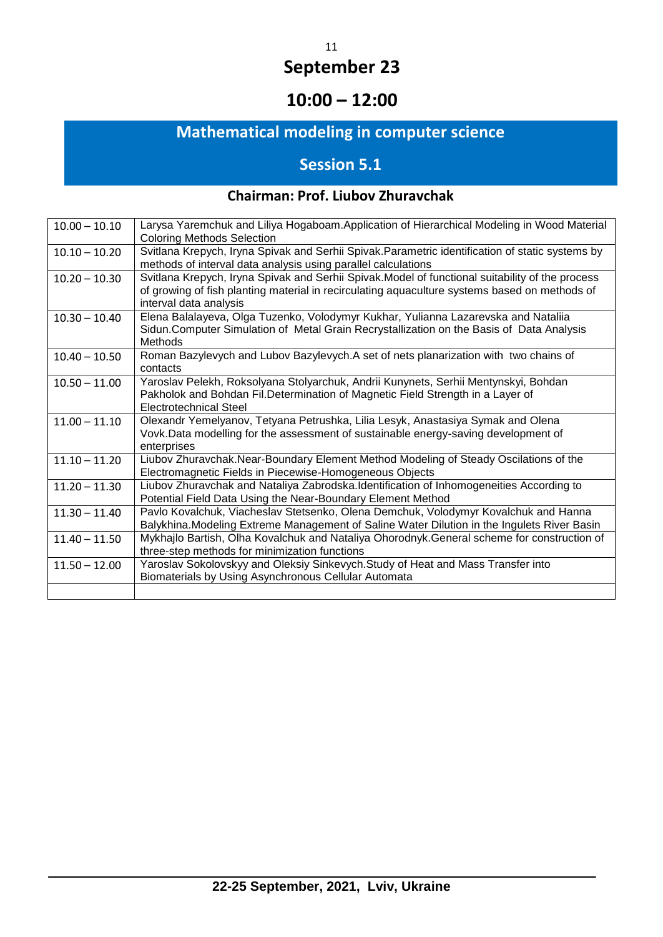# **10:00 – 12:00**

# **Mathematical modeling in computer science**

# **Session 5.1**

### **Chairman: Prof. Liubov Zhuravchak**

| $10.00 - 10.10$ | Larysa Yaremchuk and Liliya Hogaboam.Application of Hierarchical Modeling in Wood Material<br><b>Coloring Methods Selection</b>                                                                                             |
|-----------------|-----------------------------------------------------------------------------------------------------------------------------------------------------------------------------------------------------------------------------|
| $10.10 - 10.20$ | Svitlana Krepych, Iryna Spivak and Serhii Spivak. Parametric identification of static systems by<br>methods of interval data analysis using parallel calculations                                                           |
| $10.20 - 10.30$ | Svitlana Krepych, Iryna Spivak and Serhii Spivak. Model of functional suitability of the process<br>of growing of fish planting material in recirculating aquaculture systems based on methods of<br>interval data analysis |
| $10.30 - 10.40$ | Elena Balalayeva, Olga Tuzenko, Volodymyr Kukhar, Yulianna Lazarevska and Nataliia<br>Sidun.Computer Simulation of Metal Grain Recrystallization on the Basis of Data Analysis<br>Methods                                   |
| $10.40 - 10.50$ | Roman Bazylevych and Lubov Bazylevych.A set of nets planarization with two chains of<br>contacts                                                                                                                            |
| $10.50 - 11.00$ | Yaroslav Pelekh, Roksolyana Stolyarchuk, Andrii Kunynets, Serhii Mentynskyi, Bohdan<br>Pakholok and Bohdan Fil.Determination of Magnetic Field Strength in a Layer of<br>Electrotechnical Steel                             |
| $11.00 - 11.10$ | Olexandr Yemelyanov, Tetyana Petrushka, Lilia Lesyk, Anastasiya Symak and Olena<br>Vovk. Data modelling for the assessment of sustainable energy-saving development of<br>enterprises                                       |
| $11.10 - 11.20$ | Liubov Zhuravchak.Near-Boundary Element Method Modeling of Steady Oscilations of the<br>Electromagnetic Fields in Piecewise-Homogeneous Objects                                                                             |
| $11.20 - 11.30$ | Liubov Zhuravchak and Nataliya Zabrodska.Identification of Inhomogeneities According to<br>Potential Field Data Using the Near-Boundary Element Method                                                                      |
| $11.30 - 11.40$ | Pavlo Kovalchuk, Viacheslav Stetsenko, Olena Demchuk, Volodymyr Kovalchuk and Hanna<br>Balykhina. Modeling Extreme Management of Saline Water Dilution in the Ingulets River Basin                                          |
| $11.40 - 11.50$ | Mykhajlo Bartish, Olha Kovalchuk and Nataliya Ohorodnyk.General scheme for construction of<br>three-step methods for minimization functions                                                                                 |
| $11.50 - 12.00$ | Yaroslav Sokolovskyy and Oleksiy Sinkevych. Study of Heat and Mass Transfer into<br>Biomaterials by Using Asynchronous Cellular Automata                                                                                    |
|                 |                                                                                                                                                                                                                             |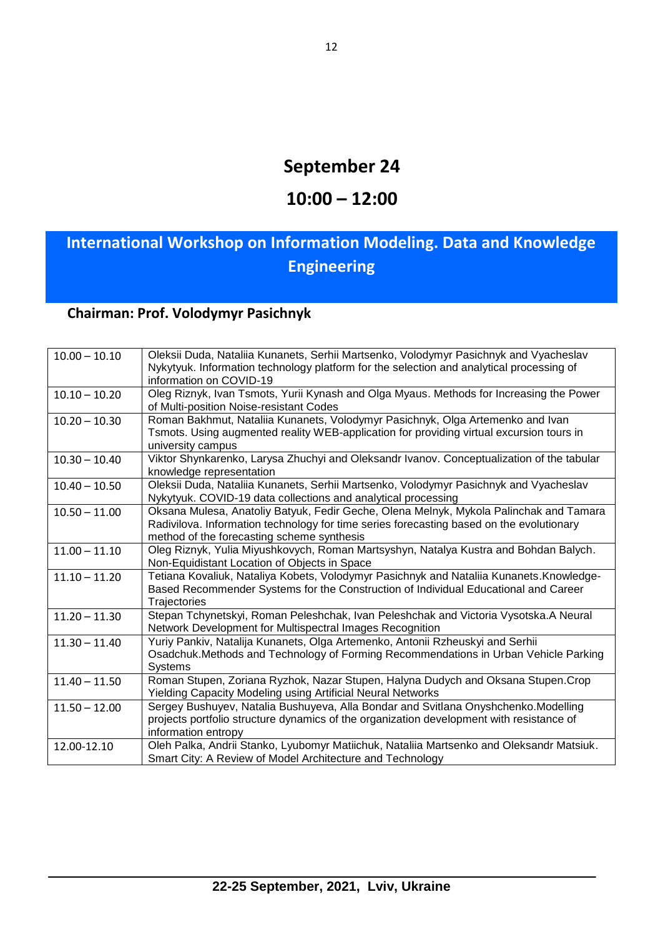### **10:00 – 12:00**

# **International Workshop on Information Modeling. Data and Knowledge Engineering**

### **Chairman: Prof. Volodymyr Pasichnyk**

| $10.00 - 10.10$ | Oleksii Duda, Nataliia Kunanets, Serhii Martsenko, Volodymyr Pasichnyk and Vyacheslav     |
|-----------------|-------------------------------------------------------------------------------------------|
|                 | Nykytyuk. Information technology platform for the selection and analytical processing of  |
|                 | information on COVID-19                                                                   |
| $10.10 - 10.20$ | Oleg Riznyk, Ivan Tsmots, Yurii Kynash and Olga Myaus. Methods for Increasing the Power   |
|                 | of Multi-position Noise-resistant Codes                                                   |
| $10.20 - 10.30$ | Roman Bakhmut, Nataliia Kunanets, Volodymyr Pasichnyk, Olga Artemenko and Ivan            |
|                 | Tsmots. Using augmented reality WEB-application for providing virtual excursion tours in  |
|                 | university campus                                                                         |
| $10.30 - 10.40$ | Viktor Shynkarenko, Larysa Zhuchyi and Oleksandr Ivanov. Conceptualization of the tabular |
|                 | knowledge representation                                                                  |
| $10.40 - 10.50$ | Oleksii Duda, Nataliia Kunanets, Serhii Martsenko, Volodymyr Pasichnyk and Vyacheslav     |
|                 | Nykytyuk. COVID-19 data collections and analytical processing                             |
| $10.50 - 11.00$ | Oksana Mulesa, Anatoliy Batyuk, Fedir Geche, Olena Melnyk, Mykola Palinchak and Tamara    |
|                 | Radivilova. Information technology for time series forecasting based on the evolutionary  |
|                 | method of the forecasting scheme synthesis                                                |
| $11.00 - 11.10$ | Oleg Riznyk, Yulia Miyushkovych, Roman Martsyshyn, Natalya Kustra and Bohdan Balych.      |
|                 | Non-Equidistant Location of Objects in Space                                              |
| $11.10 - 11.20$ | Tetiana Kovaliuk, Nataliya Kobets, Volodymyr Pasichnyk and Nataliia Kunanets.Knowledge-   |
|                 | Based Recommender Systems for the Construction of Individual Educational and Career       |
|                 | Trajectories                                                                              |
| $11.20 - 11.30$ | Stepan Tchynetskyi, Roman Peleshchak, Ivan Peleshchak and Victoria Vysotska.A Neural      |
|                 | Network Development for Multispectral Images Recognition                                  |
| $11.30 - 11.40$ | Yuriy Pankiv, Natalija Kunanets, Olga Artemenko, Antonii Rzheuskyi and Serhii             |
|                 | Osadchuk. Methods and Technology of Forming Recommendations in Urban Vehicle Parking      |
|                 | <b>Systems</b>                                                                            |
| $11.40 - 11.50$ | Roman Stupen, Zoriana Ryzhok, Nazar Stupen, Halyna Dudych and Oksana Stupen.Crop          |
|                 | <b>Yielding Capacity Modeling using Artificial Neural Networks</b>                        |
| $11.50 - 12.00$ | Sergey Bushuyev, Natalia Bushuyeva, Alla Bondar and Svitlana Onyshchenko.Modelling        |
|                 | projects portfolio structure dynamics of the organization development with resistance of  |
|                 | information entropy                                                                       |
| 12.00-12.10     | Oleh Palka, Andrii Stanko, Lyubomyr Matiichuk, Nataliia Martsenko and Oleksandr Matsiuk.  |
|                 | Smart City: A Review of Model Architecture and Technology                                 |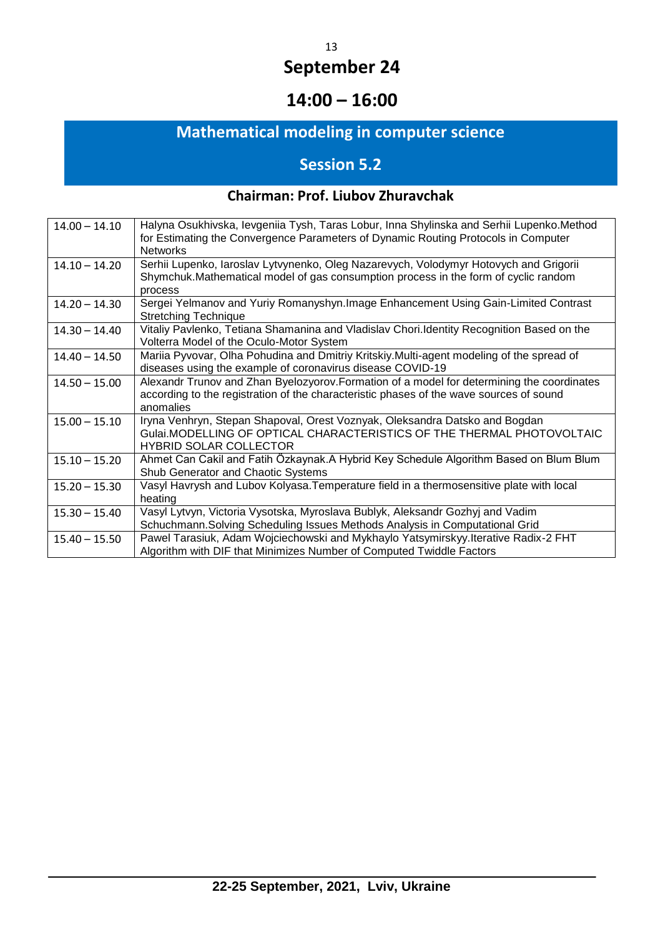# **14:00 – 16:00**

# **Mathematical modeling in computer science**

# **Session 5.2**

### **Chairman: Prof. Liubov Zhuravchak**

| $14.00 - 14.10$ | Halyna Osukhivska, levgeniia Tysh, Taras Lobur, Inna Shylinska and Serhii Lupenko. Method<br>for Estimating the Convergence Parameters of Dynamic Routing Protocols in Computer                    |
|-----------------|----------------------------------------------------------------------------------------------------------------------------------------------------------------------------------------------------|
|                 | <b>Networks</b>                                                                                                                                                                                    |
| $14.10 - 14.20$ | Serhii Lupenko, Iaroslav Lytvynenko, Oleg Nazarevych, Volodymyr Hotovych and Grigorii<br>Shymchuk.Mathematical model of gas consumption process in the form of cyclic random<br>process            |
| $14.20 - 14.30$ | Sergei Yelmanov and Yuriy Romanyshyn. Image Enhancement Using Gain-Limited Contrast<br><b>Stretching Technique</b>                                                                                 |
| $14.30 - 14.40$ | Vitaliy Pavlenko, Tetiana Shamanina and Vladislav Chori. Identity Recognition Based on the<br>Volterra Model of the Oculo-Motor System                                                             |
| $14.40 - 14.50$ | Mariia Pyvovar, Olha Pohudina and Dmitriy Kritskiy. Multi-agent modeling of the spread of<br>diseases using the example of coronavirus disease COVID-19                                            |
| $14.50 - 15.00$ | Alexandr Trunov and Zhan Byelozyorov. Formation of a model for determining the coordinates<br>according to the registration of the characteristic phases of the wave sources of sound<br>anomalies |
| $15.00 - 15.10$ | Iryna Venhryn, Stepan Shapoval, Orest Voznyak, Oleksandra Datsko and Bogdan<br>Gulai.MODELLING OF OPTICAL CHARACTERISTICS OF THE THERMAL PHOTOVOLTAIC<br><b>HYBRID SOLAR COLLECTOR</b>             |
| $15.10 - 15.20$ | Ahmet Can Cakil and Fatih Özkaynak.A Hybrid Key Schedule Algorithm Based on Blum Blum<br>Shub Generator and Chaotic Systems                                                                        |
| $15.20 - 15.30$ | Vasyl Havrysh and Lubov Kolyasa. Temperature field in a thermosensitive plate with local<br>heating                                                                                                |
| $15.30 - 15.40$ | Vasyl Lytvyn, Victoria Vysotska, Myroslava Bublyk, Aleksandr Gozhyj and Vadim                                                                                                                      |
|                 | Schuchmann. Solving Scheduling Issues Methods Analysis in Computational Grid                                                                                                                       |
| $15.40 - 15.50$ | Pawel Tarasiuk, Adam Wojciechowski and Mykhaylo Yatsymirskyy. Iterative Radix-2 FHT<br>Algorithm with DIF that Minimizes Number of Computed Twiddle Factors                                        |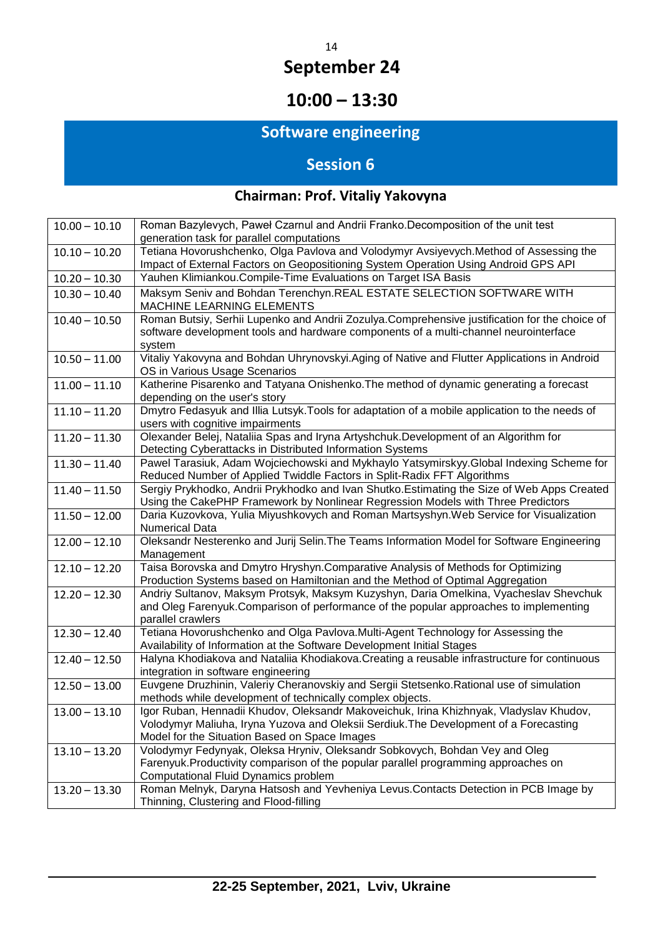# **10:00 – 13:30**

# **Software engineering**

# **Session 6**

# **Chairman: Prof. Vitaliy Yakovyna**

| $10.00 - 10.10$ | Roman Bazylevych, Paweł Czarnul and Andrii Franko.Decomposition of the unit test<br>generation task for parallel computations                                                                                                    |
|-----------------|----------------------------------------------------------------------------------------------------------------------------------------------------------------------------------------------------------------------------------|
| $10.10 - 10.20$ | Tetiana Hovorushchenko, Olga Pavlova and Volodymyr Avsiyevych.Method of Assessing the<br>Impact of External Factors on Geopositioning System Operation Using Android GPS API                                                     |
| $10.20 - 10.30$ | Yauhen Klimiankou. Compile-Time Evaluations on Target ISA Basis                                                                                                                                                                  |
| $10.30 - 10.40$ | Maksym Seniv and Bohdan Terenchyn.REAL ESTATE SELECTION SOFTWARE WITH<br>MACHINE LEARNING ELEMENTS                                                                                                                               |
| $10.40 - 10.50$ | Roman Butsiy, Serhii Lupenko and Andrii Zozulya.Comprehensive justification for the choice of<br>software development tools and hardware components of a multi-channel neurointerface<br>system                                  |
| $10.50 - 11.00$ | Vitaliy Yakovyna and Bohdan Uhrynovskyi. Aging of Native and Flutter Applications in Android<br>OS in Various Usage Scenarios                                                                                                    |
| $11.00 - 11.10$ | Katherine Pisarenko and Tatyana Onishenko. The method of dynamic generating a forecast<br>depending on the user's story                                                                                                          |
| $11.10 - 11.20$ | Dmytro Fedasyuk and Illia Lutsyk. Tools for adaptation of a mobile application to the needs of<br>users with cognitive impairments                                                                                               |
| $11.20 - 11.30$ | Olexander Belej, Nataliia Spas and Iryna Artyshchuk.Development of an Algorithm for<br>Detecting Cyberattacks in Distributed Information Systems                                                                                 |
| $11.30 - 11.40$ | Pawel Tarasiuk, Adam Wojciechowski and Mykhaylo Yatsymirskyy.Global Indexing Scheme for<br>Reduced Number of Applied Twiddle Factors in Split-Radix FFT Algorithms                                                               |
| $11.40 - 11.50$ | Sergiy Prykhodko, Andrii Prykhodko and Ivan Shutko. Estimating the Size of Web Apps Created<br>Using the CakePHP Framework by Nonlinear Regression Models with Three Predictors                                                  |
| $11.50 - 12.00$ | Daria Kuzovkova, Yulia Miyushkovych and Roman Martsyshyn. Web Service for Visualization<br><b>Numerical Data</b>                                                                                                                 |
| $12.00 - 12.10$ | Oleksandr Nesterenko and Jurij Selin. The Teams Information Model for Software Engineering<br>Management                                                                                                                         |
| $12.10 - 12.20$ | Taisa Borovska and Dmytro Hryshyn.Comparative Analysis of Methods for Optimizing<br>Production Systems based on Hamiltonian and the Method of Optimal Aggregation                                                                |
| $12.20 - 12.30$ | Andriy Sultanov, Maksym Protsyk, Maksym Kuzyshyn, Daria Omelkina, Vyacheslav Shevchuk<br>and Oleg Farenyuk. Comparison of performance of the popular approaches to implementing<br>parallel crawlers                             |
| $12.30 - 12.40$ | Tetiana Hovorushchenko and Olga Pavlova.Multi-Agent Technology for Assessing the<br>Availability of Information at the Software Development Initial Stages                                                                       |
| $12.40 - 12.50$ | Halyna Khodiakova and Nataliia Khodiakova. Creating a reusable infrastructure for continuous<br>integration in software engineering                                                                                              |
| $12.50 - 13.00$ | Euvgene Druzhinin, Valeriy Cheranovskiy and Sergii Stetsenko. Rational use of simulation<br>methods while development of technically complex objects.                                                                            |
| $13.00 - 13.10$ | Igor Ruban, Hennadii Khudov, Oleksandr Makoveichuk, Irina Khizhnyak, Vladyslav Khudov,<br>Volodymyr Maliuha, Iryna Yuzova and Oleksii Serdiuk. The Development of a Forecasting<br>Model for the Situation Based on Space Images |
| $13.10 - 13.20$ | Volodymyr Fedynyak, Oleksa Hryniv, Oleksandr Sobkovych, Bohdan Vey and Oleg<br>Farenyuk.Productivity comparison of the popular parallel programming approaches on<br>Computational Fluid Dynamics problem                        |
| $13.20 - 13.30$ | Roman Melnyk, Daryna Hatsosh and Yevheniya Levus. Contacts Detection in PCB Image by<br>Thinning, Clustering and Flood-filling                                                                                                   |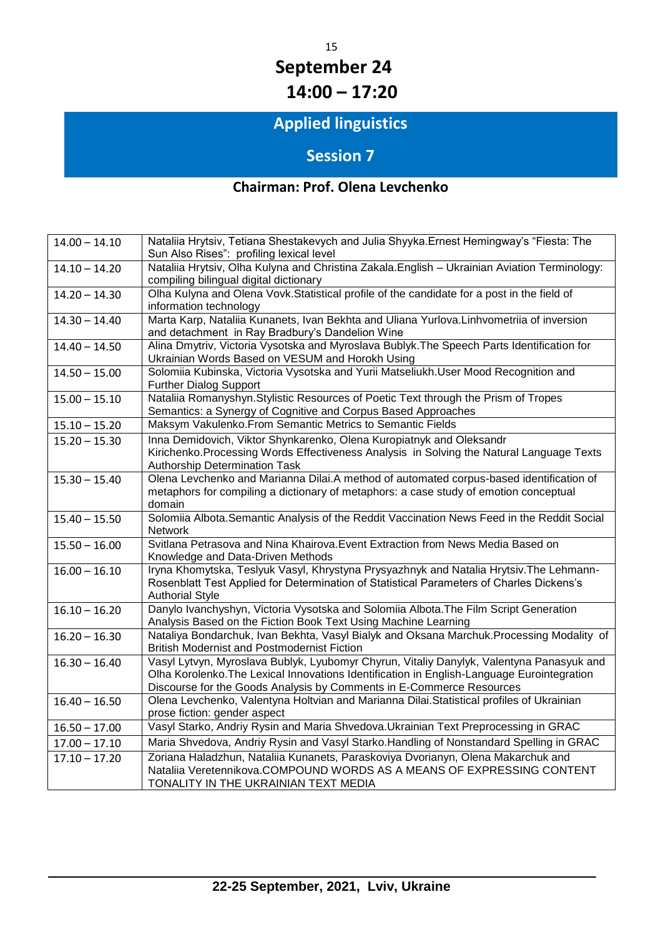# 15 **September 24 14:00 – 17:20**

# **Applied linguistics**

# **Session 7**

### **Chairman: Prof. Olena Levchenko**

| $14.00 - 14.10$ | Nataliia Hrytsiv, Tetiana Shestakevych and Julia Shyyka. Ernest Hemingway's "Fiesta: The<br>Sun Also Rises": profiling lexical level                                                                                                                           |
|-----------------|----------------------------------------------------------------------------------------------------------------------------------------------------------------------------------------------------------------------------------------------------------------|
| $14.10 - 14.20$ | Nataliia Hrytsiv, Olha Kulyna and Christina Zakala. English - Ukrainian Aviation Terminology:<br>compiling bilingual digital dictionary                                                                                                                        |
| $14.20 - 14.30$ | Olha Kulyna and Olena Vovk. Statistical profile of the candidate for a post in the field of<br>information technology                                                                                                                                          |
| $14.30 - 14.40$ | Marta Karp, Nataliia Kunanets, Ivan Bekhta and Uliana Yurlova. Linhvometriia of inversion<br>and detachment in Ray Bradbury's Dandelion Wine                                                                                                                   |
| $14.40 - 14.50$ | Alina Dmytriv, Victoria Vysotska and Myroslava Bublyk. The Speech Parts Identification for<br>Ukrainian Words Based on VESUM and Horokh Using                                                                                                                  |
| $14.50 - 15.00$ | Solomiia Kubinska, Victoria Vysotska and Yurii Matseliukh.User Mood Recognition and<br><b>Further Dialog Support</b>                                                                                                                                           |
| $15.00 - 15.10$ | Nataliia Romanyshyn. Stylistic Resources of Poetic Text through the Prism of Tropes<br>Semantics: a Synergy of Cognitive and Corpus Based Approaches                                                                                                           |
| $15.10 - 15.20$ | Maksym Vakulenko. From Semantic Metrics to Semantic Fields                                                                                                                                                                                                     |
| $15.20 - 15.30$ | Inna Demidovich, Viktor Shynkarenko, Olena Kuropiatnyk and Oleksandr<br>Kirichenko. Processing Words Effectiveness Analysis in Solving the Natural Language Texts<br>Authorship Determination Task                                                             |
| $15.30 - 15.40$ | Olena Levchenko and Marianna Dilai.A method of automated corpus-based identification of<br>metaphors for compiling a dictionary of metaphors: a case study of emotion conceptual<br>domain                                                                     |
| $15.40 - 15.50$ | Solomiia Albota. Semantic Analysis of the Reddit Vaccination News Feed in the Reddit Social<br>Network                                                                                                                                                         |
| $15.50 - 16.00$ | Svitlana Petrasova and Nina Khairova. Event Extraction from News Media Based on<br>Knowledge and Data-Driven Methods                                                                                                                                           |
| $16.00 - 16.10$ | Iryna Khomytska, Teslyuk Vasyl, Khrystyna Prysyazhnyk and Natalia Hrytsiv. The Lehmann-<br>Rosenblatt Test Applied for Determination of Statistical Parameters of Charles Dickens's<br><b>Authorial Style</b>                                                  |
| $16.10 - 16.20$ | Danylo Ivanchyshyn, Victoria Vysotska and Solomiia Albota. The Film Script Generation<br>Analysis Based on the Fiction Book Text Using Machine Learning                                                                                                        |
| $16.20 - 16.30$ | Nataliya Bondarchuk, Ivan Bekhta, Vasyl Bialyk and Oksana Marchuk. Processing Modality of<br><b>British Modernist and Postmodernist Fiction</b>                                                                                                                |
| $16.30 - 16.40$ | Vasyl Lytvyn, Myroslava Bublyk, Lyubomyr Chyrun, Vitaliy Danylyk, Valentyna Panasyuk and<br>Olha Korolenko. The Lexical Innovations Identification in English-Language Eurointegration<br>Discourse for the Goods Analysis by Comments in E-Commerce Resources |
| $16.40 - 16.50$ | Olena Levchenko, Valentyna Holtvian and Marianna Dilai.Statistical profiles of Ukrainian<br>prose fiction: gender aspect                                                                                                                                       |
| $16.50 - 17.00$ | Vasyl Starko, Andriy Rysin and Maria Shvedova. Ukrainian Text Preprocessing in GRAC                                                                                                                                                                            |
| $17.00 - 17.10$ | Maria Shvedova, Andriy Rysin and Vasyl Starko. Handling of Nonstandard Spelling in GRAC                                                                                                                                                                        |
| $17.10 - 17.20$ | Zoriana Haladzhun, Nataliia Kunanets, Paraskoviya Dvorianyn, Olena Makarchuk and<br>Nataliia Veretennikova.COMPOUND WORDS AS A MEANS OF EXPRESSING CONTENT<br>TONALITY IN THE UKRAINIAN TEXT MEDIA                                                             |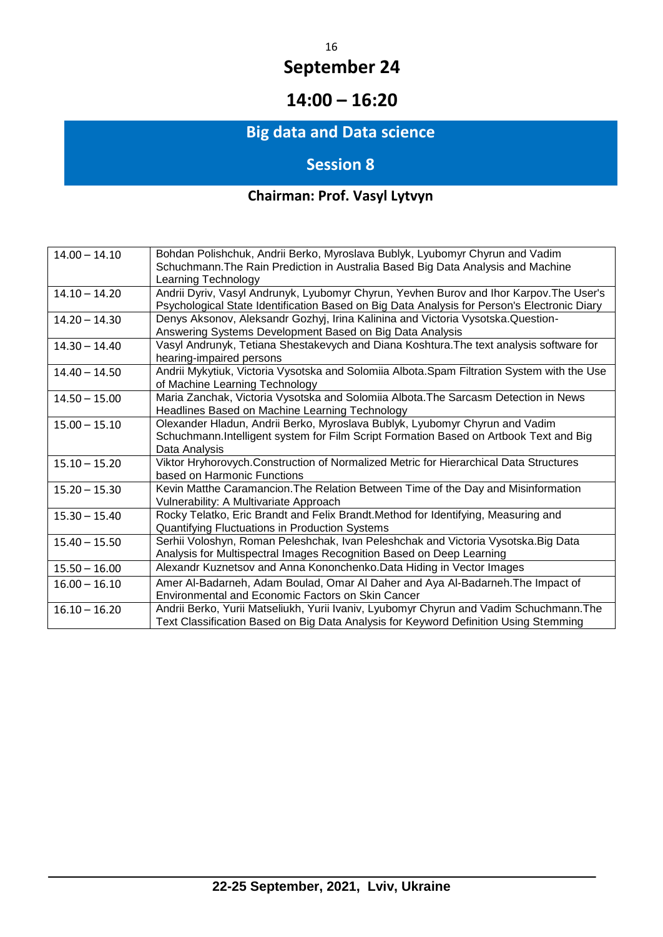# **14:00 – 16:20**

# **Big data and Data science**

# **Session 8**

# **Chairman: Prof. Vasyl Lytvyn**

| $14.00 - 14.10$ | Bohdan Polishchuk, Andrii Berko, Myroslava Bublyk, Lyubomyr Chyrun and Vadim                |
|-----------------|---------------------------------------------------------------------------------------------|
|                 | Schuchmann. The Rain Prediction in Australia Based Big Data Analysis and Machine            |
|                 | Learning Technology                                                                         |
| $14.10 - 14.20$ | Andrii Dyriv, Vasyl Andrunyk, Lyubomyr Chyrun, Yevhen Burov and Ihor Karpov. The User's     |
|                 | Psychological State Identification Based on Big Data Analysis for Person's Electronic Diary |
| $14.20 - 14.30$ | Denys Aksonov, Aleksandr Gozhyj, Irina Kalinina and Victoria Vysotska.Question-             |
|                 | Answering Systems Development Based on Big Data Analysis                                    |
| $14.30 - 14.40$ | Vasyl Andrunyk, Tetiana Shestakevych and Diana Koshtura. The text analysis software for     |
|                 | hearing-impaired persons                                                                    |
| $14.40 - 14.50$ | Andrii Mykytiuk, Victoria Vysotska and Solomiia Albota. Spam Filtration System with the Use |
|                 | of Machine Learning Technology                                                              |
| $14.50 - 15.00$ | Maria Zanchak, Victoria Vysotska and Solomiia Albota. The Sarcasm Detection in News         |
|                 | Headlines Based on Machine Learning Technology                                              |
| $15.00 - 15.10$ | Olexander Hladun, Andrii Berko, Myroslava Bublyk, Lyubomyr Chyrun and Vadim                 |
|                 | Schuchmann. Intelligent system for Film Script Formation Based on Artbook Text and Big      |
|                 | Data Analysis                                                                               |
| $15.10 - 15.20$ | Viktor Hryhorovych. Construction of Normalized Metric for Hierarchical Data Structures      |
|                 | based on Harmonic Functions                                                                 |
| $15.20 - 15.30$ | Kevin Matthe Caramancion. The Relation Between Time of the Day and Misinformation           |
|                 | Vulnerability: A Multivariate Approach                                                      |
| $15.30 - 15.40$ | Rocky Telatko, Eric Brandt and Felix Brandt. Method for Identifying, Measuring and          |
|                 | Quantifying Fluctuations in Production Systems                                              |
| $15.40 - 15.50$ | Serhii Voloshyn, Roman Peleshchak, Ivan Peleshchak and Victoria Vysotska.Big Data           |
|                 | Analysis for Multispectral Images Recognition Based on Deep Learning                        |
| $15.50 - 16.00$ | Alexandr Kuznetsov and Anna Kononchenko.Data Hiding in Vector Images                        |
| $16.00 - 16.10$ | Amer Al-Badarneh, Adam Boulad, Omar Al Daher and Aya Al-Badarneh. The Impact of             |
|                 | <b>Environmental and Economic Factors on Skin Cancer</b>                                    |
| $16.10 - 16.20$ | Andrii Berko, Yurii Matseliukh, Yurii Ivaniv, Lyubomyr Chyrun and Vadim Schuchmann.The      |
|                 | Text Classification Based on Big Data Analysis for Keyword Definition Using Stemming        |